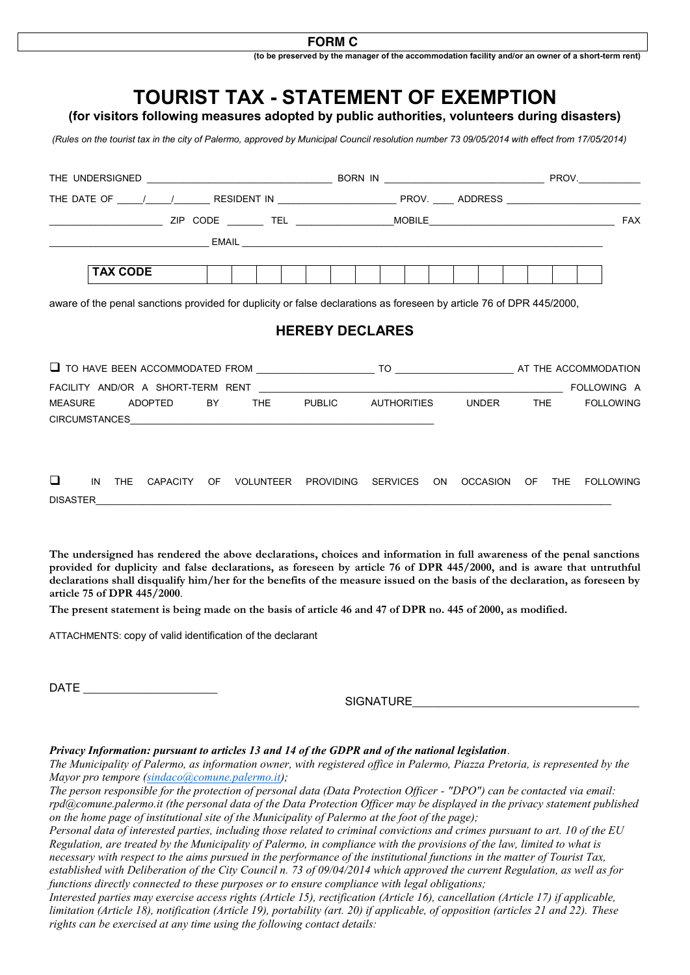## **FORM C**

**(to be preserved by the manager of the accommodation facility and/or an owner of a short-term rent)**



**The undersigned has rendered the above declarations, choices and information in full awareness of the penal sanctions provided for duplicity and false declarations, as foreseen by article 76 of DPR 445/2000, and is aware that untruthful declarations shall disqualify him/her for the benefits of the measure issued on the basis of the declaration, as foreseen by article 75 of DPR 445/2000**.

**The present statement is being made on the basis of article 46 and 47 of DPR no. 445 of 2000, as modified.**

ATTACHMENTS: copy of valid identification of the declarant

DATE \_\_\_\_\_\_\_\_\_\_\_\_\_\_\_\_\_\_\_\_\_\_\_\_\_\_

SIGNATURE

## *Privacy Information: pursuant to articles 13 and 14 of the GDPR and of the national legislation.*

*The Municipality of Palermo, as information owner, with registered office in Palermo, Piazza Pretoria, is represented by the Mayor pro tempore [\(sindaco@comune.palermo.it\)](mailto:sindaco@comune.palermo.it);*

*The person responsible for the protection of personal data (Data Protection Officer - "DPO") can be contacted via email: rpd@comune.palermo.it (the personal data of the Data Protection Officer may be displayed in the privacy statement published on the home page of institutional site of the Municipality of Palermo at the foot of the page);*

*Personal data of interested parties, including those related to criminal convictions and crimes pursuant to art. 10 of the EU Regulation, are treated by the Municipality of Palermo, in compliance with the provisions of the law, limited to what is necessary with respect to the aims pursued in the performance of the institutional functions in the matter of Tourist Tax, established with Deliberation of the City Council n. 73 of 09/04/2014 which approved the current Regulation, as well as for functions directly connected to these purposes or to ensure compliance with legal obligations;*

*Interested parties may exercise access rights (Article 15), rectification (Article 16), cancellation (Article 17) if applicable, limitation (Article 18), notification (Article 19), portability (art. 20) if applicable, of opposition (articles 21 and 22). These rights can be exercised at any time using the following contact details:*